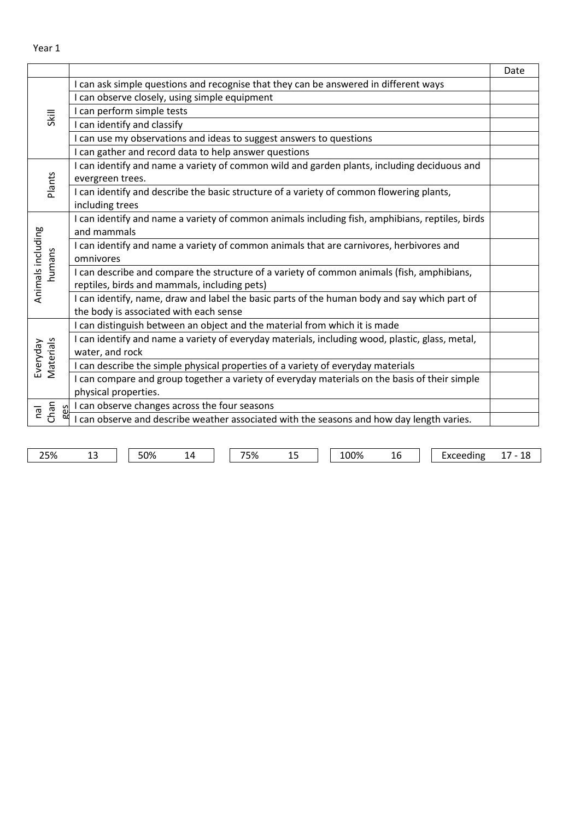| I can ask simple questions and recognise that they can be answered in different ways<br>I can observe closely, using simple equipment<br>I can perform simple tests<br>Skill<br>I can identify and classify<br>I can use my observations and ideas to suggest answers to questions<br>I can gather and record data to help answer questions<br>I can identify and name a variety of common wild and garden plants, including deciduous and<br>Plants<br>evergreen trees.<br>I can identify and describe the basic structure of a variety of common flowering plants,<br>including trees<br>I can identify and name a variety of common animals including fish, amphibians, reptiles, birds<br>Animals including<br>and mammals<br>I can identify and name a variety of common animals that are carnivores, herbivores and<br>humans<br>omnivores<br>I can describe and compare the structure of a variety of common animals (fish, amphibians,<br>reptiles, birds and mammals, including pets)<br>I can identify, name, draw and label the basic parts of the human body and say which part of<br>the body is associated with each sense<br>I can distinguish between an object and the material from which it is made<br>I can identify and name a variety of everyday materials, including wood, plastic, glass, metal,<br>Materials<br>Everyday<br>water, and rock<br>I can describe the simple physical properties of a variety of everyday materials<br>I can compare and group together a variety of everyday materials on the basis of their simple<br>physical properties.<br>I can observe changes across the four seasons<br>Chan<br>65<br>leu<br>ōΔ<br>I can observe and describe weather associated with the seasons and how day length varies. |  | Date |
|-------------------------------------------------------------------------------------------------------------------------------------------------------------------------------------------------------------------------------------------------------------------------------------------------------------------------------------------------------------------------------------------------------------------------------------------------------------------------------------------------------------------------------------------------------------------------------------------------------------------------------------------------------------------------------------------------------------------------------------------------------------------------------------------------------------------------------------------------------------------------------------------------------------------------------------------------------------------------------------------------------------------------------------------------------------------------------------------------------------------------------------------------------------------------------------------------------------------------------------------------------------------------------------------------------------------------------------------------------------------------------------------------------------------------------------------------------------------------------------------------------------------------------------------------------------------------------------------------------------------------------------------------------------------------------------------------------------------------------------------------------------|--|------|
|                                                                                                                                                                                                                                                                                                                                                                                                                                                                                                                                                                                                                                                                                                                                                                                                                                                                                                                                                                                                                                                                                                                                                                                                                                                                                                                                                                                                                                                                                                                                                                                                                                                                                                                                                             |  |      |
|                                                                                                                                                                                                                                                                                                                                                                                                                                                                                                                                                                                                                                                                                                                                                                                                                                                                                                                                                                                                                                                                                                                                                                                                                                                                                                                                                                                                                                                                                                                                                                                                                                                                                                                                                             |  |      |
|                                                                                                                                                                                                                                                                                                                                                                                                                                                                                                                                                                                                                                                                                                                                                                                                                                                                                                                                                                                                                                                                                                                                                                                                                                                                                                                                                                                                                                                                                                                                                                                                                                                                                                                                                             |  |      |
|                                                                                                                                                                                                                                                                                                                                                                                                                                                                                                                                                                                                                                                                                                                                                                                                                                                                                                                                                                                                                                                                                                                                                                                                                                                                                                                                                                                                                                                                                                                                                                                                                                                                                                                                                             |  |      |
|                                                                                                                                                                                                                                                                                                                                                                                                                                                                                                                                                                                                                                                                                                                                                                                                                                                                                                                                                                                                                                                                                                                                                                                                                                                                                                                                                                                                                                                                                                                                                                                                                                                                                                                                                             |  |      |
|                                                                                                                                                                                                                                                                                                                                                                                                                                                                                                                                                                                                                                                                                                                                                                                                                                                                                                                                                                                                                                                                                                                                                                                                                                                                                                                                                                                                                                                                                                                                                                                                                                                                                                                                                             |  |      |
|                                                                                                                                                                                                                                                                                                                                                                                                                                                                                                                                                                                                                                                                                                                                                                                                                                                                                                                                                                                                                                                                                                                                                                                                                                                                                                                                                                                                                                                                                                                                                                                                                                                                                                                                                             |  |      |
|                                                                                                                                                                                                                                                                                                                                                                                                                                                                                                                                                                                                                                                                                                                                                                                                                                                                                                                                                                                                                                                                                                                                                                                                                                                                                                                                                                                                                                                                                                                                                                                                                                                                                                                                                             |  |      |
|                                                                                                                                                                                                                                                                                                                                                                                                                                                                                                                                                                                                                                                                                                                                                                                                                                                                                                                                                                                                                                                                                                                                                                                                                                                                                                                                                                                                                                                                                                                                                                                                                                                                                                                                                             |  |      |
|                                                                                                                                                                                                                                                                                                                                                                                                                                                                                                                                                                                                                                                                                                                                                                                                                                                                                                                                                                                                                                                                                                                                                                                                                                                                                                                                                                                                                                                                                                                                                                                                                                                                                                                                                             |  |      |
|                                                                                                                                                                                                                                                                                                                                                                                                                                                                                                                                                                                                                                                                                                                                                                                                                                                                                                                                                                                                                                                                                                                                                                                                                                                                                                                                                                                                                                                                                                                                                                                                                                                                                                                                                             |  |      |
|                                                                                                                                                                                                                                                                                                                                                                                                                                                                                                                                                                                                                                                                                                                                                                                                                                                                                                                                                                                                                                                                                                                                                                                                                                                                                                                                                                                                                                                                                                                                                                                                                                                                                                                                                             |  |      |
|                                                                                                                                                                                                                                                                                                                                                                                                                                                                                                                                                                                                                                                                                                                                                                                                                                                                                                                                                                                                                                                                                                                                                                                                                                                                                                                                                                                                                                                                                                                                                                                                                                                                                                                                                             |  |      |
|                                                                                                                                                                                                                                                                                                                                                                                                                                                                                                                                                                                                                                                                                                                                                                                                                                                                                                                                                                                                                                                                                                                                                                                                                                                                                                                                                                                                                                                                                                                                                                                                                                                                                                                                                             |  |      |
|                                                                                                                                                                                                                                                                                                                                                                                                                                                                                                                                                                                                                                                                                                                                                                                                                                                                                                                                                                                                                                                                                                                                                                                                                                                                                                                                                                                                                                                                                                                                                                                                                                                                                                                                                             |  |      |
|                                                                                                                                                                                                                                                                                                                                                                                                                                                                                                                                                                                                                                                                                                                                                                                                                                                                                                                                                                                                                                                                                                                                                                                                                                                                                                                                                                                                                                                                                                                                                                                                                                                                                                                                                             |  |      |
|                                                                                                                                                                                                                                                                                                                                                                                                                                                                                                                                                                                                                                                                                                                                                                                                                                                                                                                                                                                                                                                                                                                                                                                                                                                                                                                                                                                                                                                                                                                                                                                                                                                                                                                                                             |  |      |
|                                                                                                                                                                                                                                                                                                                                                                                                                                                                                                                                                                                                                                                                                                                                                                                                                                                                                                                                                                                                                                                                                                                                                                                                                                                                                                                                                                                                                                                                                                                                                                                                                                                                                                                                                             |  |      |
|                                                                                                                                                                                                                                                                                                                                                                                                                                                                                                                                                                                                                                                                                                                                                                                                                                                                                                                                                                                                                                                                                                                                                                                                                                                                                                                                                                                                                                                                                                                                                                                                                                                                                                                                                             |  |      |
|                                                                                                                                                                                                                                                                                                                                                                                                                                                                                                                                                                                                                                                                                                                                                                                                                                                                                                                                                                                                                                                                                                                                                                                                                                                                                                                                                                                                                                                                                                                                                                                                                                                                                                                                                             |  |      |
|                                                                                                                                                                                                                                                                                                                                                                                                                                                                                                                                                                                                                                                                                                                                                                                                                                                                                                                                                                                                                                                                                                                                                                                                                                                                                                                                                                                                                                                                                                                                                                                                                                                                                                                                                             |  |      |
|                                                                                                                                                                                                                                                                                                                                                                                                                                                                                                                                                                                                                                                                                                                                                                                                                                                                                                                                                                                                                                                                                                                                                                                                                                                                                                                                                                                                                                                                                                                                                                                                                                                                                                                                                             |  |      |
|                                                                                                                                                                                                                                                                                                                                                                                                                                                                                                                                                                                                                                                                                                                                                                                                                                                                                                                                                                                                                                                                                                                                                                                                                                                                                                                                                                                                                                                                                                                                                                                                                                                                                                                                                             |  |      |
|                                                                                                                                                                                                                                                                                                                                                                                                                                                                                                                                                                                                                                                                                                                                                                                                                                                                                                                                                                                                                                                                                                                                                                                                                                                                                                                                                                                                                                                                                                                                                                                                                                                                                                                                                             |  |      |
|                                                                                                                                                                                                                                                                                                                                                                                                                                                                                                                                                                                                                                                                                                                                                                                                                                                                                                                                                                                                                                                                                                                                                                                                                                                                                                                                                                                                                                                                                                                                                                                                                                                                                                                                                             |  |      |
|                                                                                                                                                                                                                                                                                                                                                                                                                                                                                                                                                                                                                                                                                                                                                                                                                                                                                                                                                                                                                                                                                                                                                                                                                                                                                                                                                                                                                                                                                                                                                                                                                                                                                                                                                             |  |      |

25% 13 50% 14 75% 15 100% 16 Exceeding 17 - 18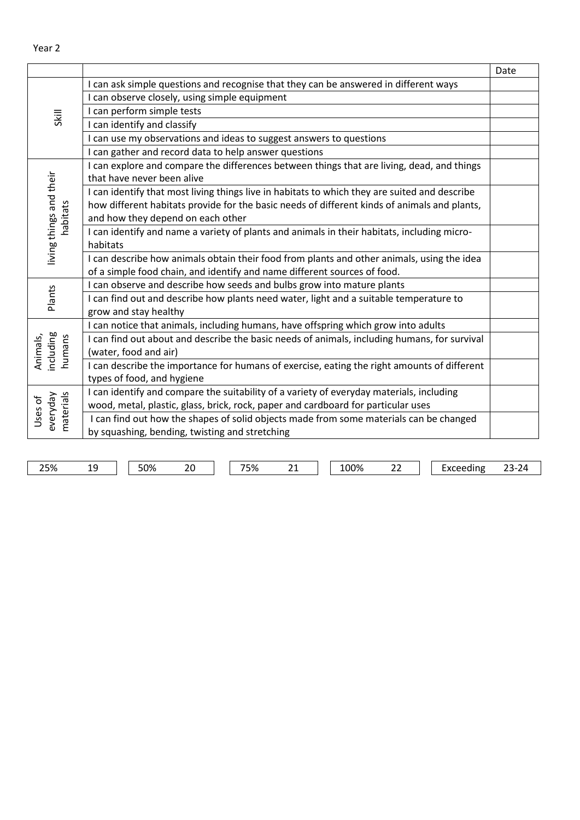|                                     |                                                                                                                                                                                                                                    | Date |
|-------------------------------------|------------------------------------------------------------------------------------------------------------------------------------------------------------------------------------------------------------------------------------|------|
| <b>Skill</b>                        | I can ask simple questions and recognise that they can be answered in different ways                                                                                                                                               |      |
|                                     | I can observe closely, using simple equipment                                                                                                                                                                                      |      |
|                                     | I can perform simple tests                                                                                                                                                                                                         |      |
|                                     | I can identify and classify                                                                                                                                                                                                        |      |
|                                     | I can use my observations and ideas to suggest answers to questions                                                                                                                                                                |      |
|                                     | I can gather and record data to help answer questions                                                                                                                                                                              |      |
|                                     | I can explore and compare the differences between things that are living, dead, and things<br>that have never been alive                                                                                                           |      |
| living things and their<br>habitats | I can identify that most living things live in habitats to which they are suited and describe<br>how different habitats provide for the basic needs of different kinds of animals and plants,<br>and how they depend on each other |      |
|                                     | I can identify and name a variety of plants and animals in their habitats, including micro-<br>habitats                                                                                                                            |      |
|                                     | I can describe how animals obtain their food from plants and other animals, using the idea<br>of a simple food chain, and identify and name different sources of food.                                                             |      |
|                                     | I can observe and describe how seeds and bulbs grow into mature plants                                                                                                                                                             |      |
| Plants                              | I can find out and describe how plants need water, light and a suitable temperature to<br>grow and stay healthy                                                                                                                    |      |
|                                     | I can notice that animals, including humans, have offspring which grow into adults                                                                                                                                                 |      |
| ncluding<br>Animals,<br>humans      | I can find out about and describe the basic needs of animals, including humans, for survival<br>(water, food and air)                                                                                                              |      |
|                                     | I can describe the importance for humans of exercise, eating the right amounts of different<br>types of food, and hygiene                                                                                                          |      |
| materials<br>everyday<br>Uses of    | I can identify and compare the suitability of a variety of everyday materials, including<br>wood, metal, plastic, glass, brick, rock, paper and cardboard for particular uses                                                      |      |
|                                     | I can find out how the shapes of solid objects made from some materials can be changed<br>by squashing, bending, twisting and stretching                                                                                           |      |

25% 19 50% 20 75% 21 100% 22 Exceeding 23-24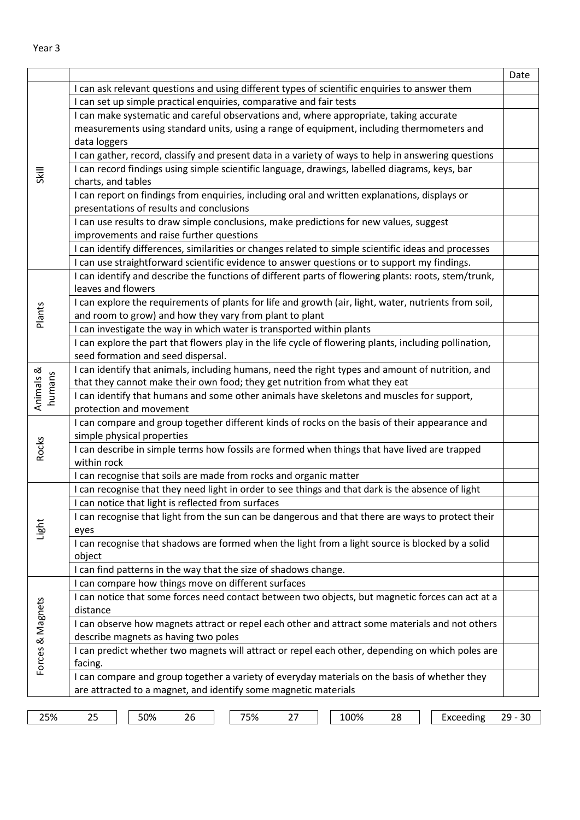|                     |                                                                                                        | Date      |
|---------------------|--------------------------------------------------------------------------------------------------------|-----------|
|                     | I can ask relevant questions and using different types of scientific enquiries to answer them          |           |
|                     | I can set up simple practical enquiries, comparative and fair tests                                    |           |
|                     | I can make systematic and careful observations and, where appropriate, taking accurate                 |           |
|                     | measurements using standard units, using a range of equipment, including thermometers and              |           |
|                     | data loggers                                                                                           |           |
|                     | I can gather, record, classify and present data in a variety of ways to help in answering questions    |           |
|                     | I can record findings using simple scientific language, drawings, labelled diagrams, keys, bar         |           |
| Skill               | charts, and tables                                                                                     |           |
|                     | I can report on findings from enquiries, including oral and written explanations, displays or          |           |
|                     | presentations of results and conclusions                                                               |           |
|                     | I can use results to draw simple conclusions, make predictions for new values, suggest                 |           |
|                     | improvements and raise further questions                                                               |           |
|                     | I can identify differences, similarities or changes related to simple scientific ideas and processes   |           |
|                     | I can use straightforward scientific evidence to answer questions or to support my findings.           |           |
|                     | I can identify and describe the functions of different parts of flowering plants: roots, stem/trunk,   |           |
|                     | leaves and flowers                                                                                     |           |
|                     | I can explore the requirements of plants for life and growth (air, light, water, nutrients from soil,  |           |
| Plants              | and room to grow) and how they vary from plant to plant                                                |           |
|                     | I can investigate the way in which water is transported within plants                                  |           |
|                     | I can explore the part that flowers play in the life cycle of flowering plants, including pollination, |           |
|                     | seed formation and seed dispersal.                                                                     |           |
|                     | I can identify that animals, including humans, need the right types and amount of nutrition, and       |           |
| Animals &<br>humans | that they cannot make their own food; they get nutrition from what they eat                            |           |
|                     | I can identify that humans and some other animals have skeletons and muscles for support,              |           |
|                     | protection and movement                                                                                |           |
|                     | I can compare and group together different kinds of rocks on the basis of their appearance and         |           |
|                     | simple physical properties                                                                             |           |
| Rocks               | I can describe in simple terms how fossils are formed when things that have lived are trapped          |           |
|                     | within rock                                                                                            |           |
|                     | I can recognise that soils are made from rocks and organic matter                                      |           |
|                     | I can recognise that they need light in order to see things and that dark is the absence of light      |           |
|                     | I can notice that light is reflected from surfaces                                                     |           |
|                     | I can recognise that light from the sun can be dangerous and that there are ways to protect their      |           |
| Light               | eyes                                                                                                   |           |
|                     | I can recognise that shadows are formed when the light from a light source is blocked by a solid       |           |
|                     | object                                                                                                 |           |
|                     | I can find patterns in the way that the size of shadows change.                                        |           |
|                     | can compare how things move on different surfaces                                                      |           |
|                     | I can notice that some forces need contact between two objects, but magnetic forces can act at a       |           |
| Forces & Magnets    | distance                                                                                               |           |
|                     | I can observe how magnets attract or repel each other and attract some materials and not others        |           |
|                     | describe magnets as having two poles                                                                   |           |
|                     | I can predict whether two magnets will attract or repel each other, depending on which poles are       |           |
|                     | facing.                                                                                                |           |
|                     | I can compare and group together a variety of everyday materials on the basis of whether they          |           |
|                     | are attracted to a magnet, and identify some magnetic materials                                        |           |
|                     |                                                                                                        |           |
| 25%                 | 50%<br>75%<br>100%<br>Exceeding<br>25<br>26<br>27<br>28                                                | $29 - 30$ |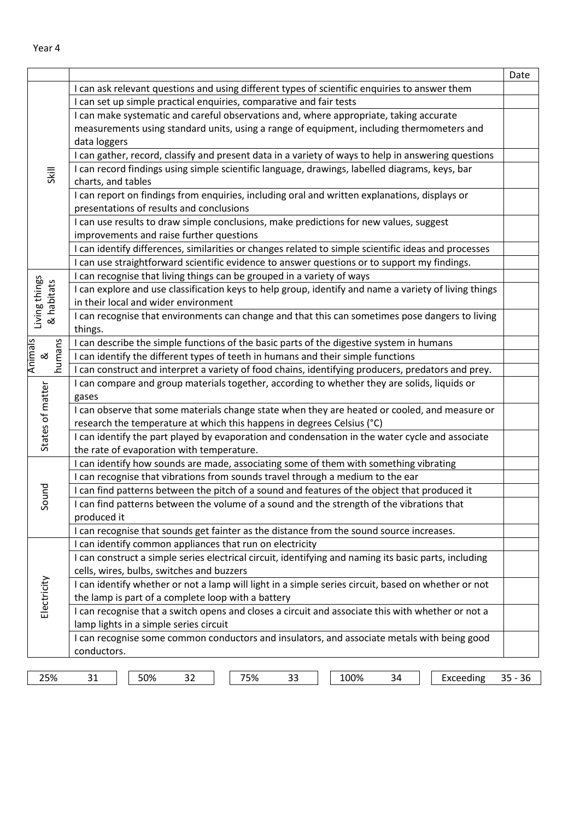| I can ask relevant questions and using different types of scientific enquiries to answer them<br>I can set up simple practical enquiries, comparative and fair tests<br>I can make systematic and careful observations and, where appropriate, taking accurate |  |
|----------------------------------------------------------------------------------------------------------------------------------------------------------------------------------------------------------------------------------------------------------------|--|
|                                                                                                                                                                                                                                                                |  |
|                                                                                                                                                                                                                                                                |  |
|                                                                                                                                                                                                                                                                |  |
| measurements using standard units, using a range of equipment, including thermometers and                                                                                                                                                                      |  |
| data loggers                                                                                                                                                                                                                                                   |  |
| I can gather, record, classify and present data in a variety of ways to help in answering questions                                                                                                                                                            |  |
| I can record findings using simple scientific language, drawings, labelled diagrams, keys, bar<br>Skill                                                                                                                                                        |  |
| charts, and tables                                                                                                                                                                                                                                             |  |
| I can report on findings from enquiries, including oral and written explanations, displays or                                                                                                                                                                  |  |
| presentations of results and conclusions                                                                                                                                                                                                                       |  |
| I can use results to draw simple conclusions, make predictions for new values, suggest                                                                                                                                                                         |  |
| improvements and raise further questions                                                                                                                                                                                                                       |  |
| I can identify differences, similarities or changes related to simple scientific ideas and processes                                                                                                                                                           |  |
| I can use straightforward scientific evidence to answer questions or to support my findings.                                                                                                                                                                   |  |
| I can recognise that living things can be grouped in a variety of ways                                                                                                                                                                                         |  |
| Living things<br>& habitats<br>I can explore and use classification keys to help group, identify and name a variety of living things                                                                                                                           |  |
| in their local and wider environment                                                                                                                                                                                                                           |  |
| I can recognise that environments can change and that this can sometimes pose dangers to living                                                                                                                                                                |  |
| things.                                                                                                                                                                                                                                                        |  |
| I can describe the simple functions of the basic parts of the digestive system in humans                                                                                                                                                                       |  |
| <b>Animals</b><br>humans<br>I can identify the different types of teeth in humans and their simple functions<br>ಡ                                                                                                                                              |  |
| I can construct and interpret a variety of food chains, identifying producers, predators and prey.                                                                                                                                                             |  |
| I can compare and group materials together, according to whether they are solids, liquids or                                                                                                                                                                   |  |
| gases                                                                                                                                                                                                                                                          |  |
| States of matter<br>I can observe that some materials change state when they are heated or cooled, and measure or                                                                                                                                              |  |
| research the temperature at which this happens in degrees Celsius (°C)                                                                                                                                                                                         |  |
| I can identify the part played by evaporation and condensation in the water cycle and associate                                                                                                                                                                |  |
| the rate of evaporation with temperature.                                                                                                                                                                                                                      |  |
| I can identify how sounds are made, associating some of them with something vibrating                                                                                                                                                                          |  |
| I can recognise that vibrations from sounds travel through a medium to the ear                                                                                                                                                                                 |  |
| pund<br>I can find patterns between the pitch of a sound and features of the object that produced it                                                                                                                                                           |  |
| I can find patterns between the volume of a sound and the strength of the vibrations that<br>Ō                                                                                                                                                                 |  |
| produced it                                                                                                                                                                                                                                                    |  |
| I can recognise that sounds get fainter as the distance from the sound source increases.                                                                                                                                                                       |  |
| I can identify common appliances that run on electricity                                                                                                                                                                                                       |  |
| I can construct a simple series electrical circuit, identifying and naming its basic parts, including                                                                                                                                                          |  |
| cells, wires, bulbs, switches and buzzers<br>I can identify whether or not a lamp will light in a simple series circuit, based on whether or not                                                                                                               |  |
| Electricity<br>the lamp is part of a complete loop with a battery                                                                                                                                                                                              |  |
|                                                                                                                                                                                                                                                                |  |
| I can recognise that a switch opens and closes a circuit and associate this with whether or not a                                                                                                                                                              |  |
| lamp lights in a simple series circuit<br>I can recognise some common conductors and insulators, and associate metals with being good                                                                                                                          |  |
| conductors.                                                                                                                                                                                                                                                    |  |
|                                                                                                                                                                                                                                                                |  |

Year 4

25% 31 50% 32 75% 33 100% 34 Exceeding 35 - 36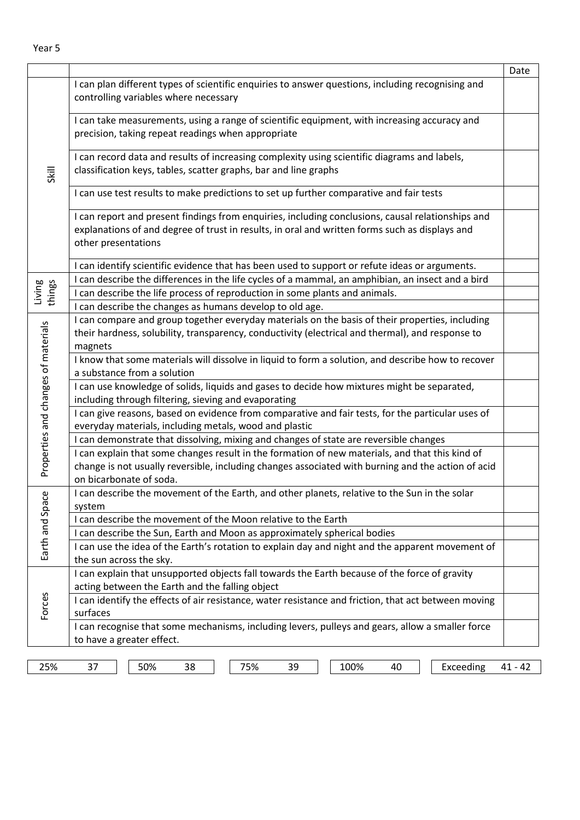|                                     |                                                                                                                                                                                                                                  | Date      |
|-------------------------------------|----------------------------------------------------------------------------------------------------------------------------------------------------------------------------------------------------------------------------------|-----------|
|                                     | I can plan different types of scientific enquiries to answer questions, including recognising and<br>controlling variables where necessary                                                                                       |           |
| Skill                               | I can take measurements, using a range of scientific equipment, with increasing accuracy and<br>precision, taking repeat readings when appropriate                                                                               |           |
|                                     | I can record data and results of increasing complexity using scientific diagrams and labels,<br>classification keys, tables, scatter graphs, bar and line graphs                                                                 |           |
|                                     | I can use test results to make predictions to set up further comparative and fair tests                                                                                                                                          |           |
|                                     | I can report and present findings from enquiries, including conclusions, causal relationships and<br>explanations of and degree of trust in results, in oral and written forms such as displays and<br>other presentations       |           |
|                                     | I can identify scientific evidence that has been used to support or refute ideas or arguments.                                                                                                                                   |           |
|                                     | I can describe the differences in the life cycles of a mammal, an amphibian, an insect and a bird                                                                                                                                |           |
| Living<br>things                    | I can describe the life process of reproduction in some plants and animals.                                                                                                                                                      |           |
|                                     | I can describe the changes as humans develop to old age.                                                                                                                                                                         |           |
|                                     | I can compare and group together everyday materials on the basis of their properties, including<br>their hardness, solubility, transparency, conductivity (electrical and thermal), and response to<br>magnets                   |           |
|                                     | I know that some materials will dissolve in liquid to form a solution, and describe how to recover<br>a substance from a solution                                                                                                |           |
|                                     | I can use knowledge of solids, liquids and gases to decide how mixtures might be separated,<br>including through filtering, sieving and evaporating                                                                              |           |
|                                     | I can give reasons, based on evidence from comparative and fair tests, for the particular uses of<br>everyday materials, including metals, wood and plastic                                                                      |           |
|                                     | I can demonstrate that dissolving, mixing and changes of state are reversible changes                                                                                                                                            |           |
| Properties and changes of materials | I can explain that some changes result in the formation of new materials, and that this kind of<br>change is not usually reversible, including changes associated with burning and the action of acid<br>on bicarbonate of soda. |           |
| <b>ლ</b>                            | I can describe the movement of the Earth, and other planets, relative to the Sun in the solar<br>system                                                                                                                          |           |
| Earth and Spa                       | I can describe the movement of the Moon relative to the Earth                                                                                                                                                                    |           |
|                                     | I can describe the Sun, Earth and Moon as approximately spherical bodies                                                                                                                                                         |           |
|                                     | I can use the idea of the Earth's rotation to explain day and night and the apparent movement of                                                                                                                                 |           |
|                                     | the sun across the sky.                                                                                                                                                                                                          |           |
|                                     | I can explain that unsupported objects fall towards the Earth because of the force of gravity                                                                                                                                    |           |
| Forces                              | acting between the Earth and the falling object                                                                                                                                                                                  |           |
|                                     | I can identify the effects of air resistance, water resistance and friction, that act between moving<br>surfaces                                                                                                                 |           |
|                                     | I can recognise that some mechanisms, including levers, pulleys and gears, allow a smaller force<br>to have a greater effect.                                                                                                    |           |
|                                     |                                                                                                                                                                                                                                  |           |
| 25%                                 | Exceeding<br>50%<br>75%<br>100%<br>37<br>38<br>39<br>40                                                                                                                                                                          | $41 - 42$ |